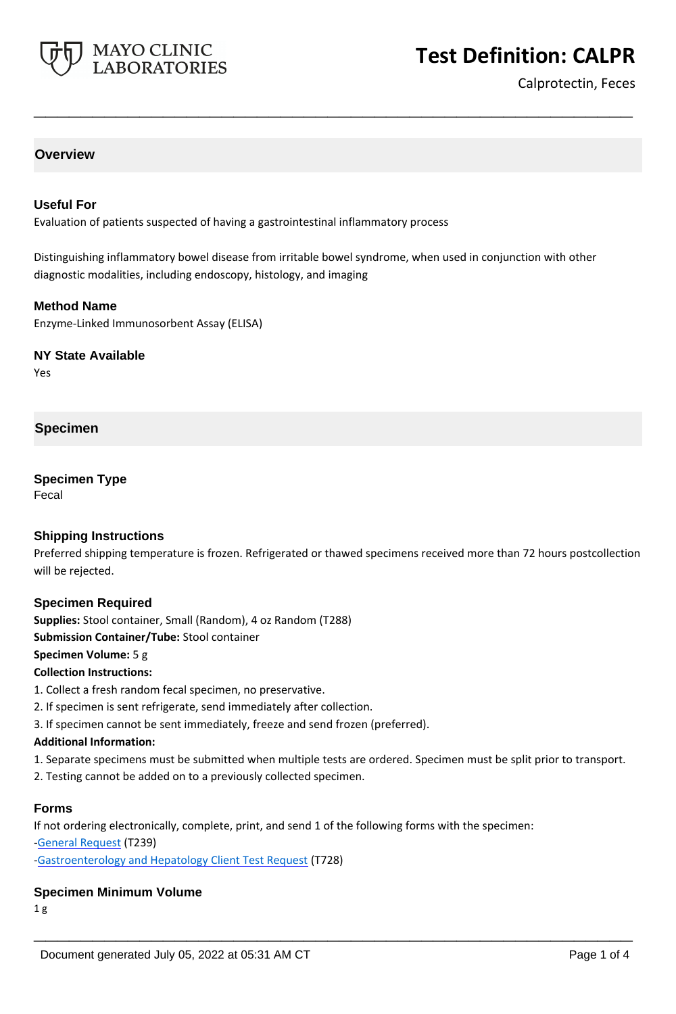

# **Test Definition: CALPR**

Calprotectin, Feces

# **Overview**

#### **Useful For**

Evaluation of patients suspected of having a gastrointestinal inflammatory process

Distinguishing inflammatory bowel disease from irritable bowel syndrome, when used in conjunction with other diagnostic modalities, including endoscopy, histology, and imaging

**\_\_\_\_\_\_\_\_\_\_\_\_\_\_\_\_\_\_\_\_\_\_\_\_\_\_\_\_\_\_\_\_\_\_\_\_\_\_\_\_\_\_\_\_\_\_\_\_\_\_\_**

#### **Method Name**

Enzyme-Linked Immunosorbent Assay (ELISA)

#### **NY State Available**

Yes

# **Specimen**

#### **Specimen Type**

Fecal

## **Shipping Instructions**

Preferred shipping temperature is frozen. Refrigerated or thawed specimens received more than 72 hours postcollection will be rejected.

## **Specimen Required**

**Supplies:** Stool container, Small (Random), 4 oz Random (T288)

**Submission Container/Tube:** Stool container

#### **Specimen Volume:** 5 g

**Collection Instructions:**

- 1. Collect a fresh random fecal specimen, no preservative.
- 2. If specimen is sent refrigerate, send immediately after collection.
- 3. If specimen cannot be sent immediately, freeze and send frozen (preferred).

#### **Additional Information:**

1. Separate specimens must be submitted when multiple tests are ordered. Specimen must be split prior to transport.

**\_\_\_\_\_\_\_\_\_\_\_\_\_\_\_\_\_\_\_\_\_\_\_\_\_\_\_\_\_\_\_\_\_\_\_\_\_\_\_\_\_\_\_\_\_\_\_\_\_\_\_**

2. Testing cannot be added on to a previously collected specimen.

#### **Forms**

If not ordering electronically, complete, print, and send 1 of the following forms with the specimen: [-General Request](https://www.mayocliniclabs.com/it-mmfiles/general-request-form.pdf) (T239)

[-Gastroenterology and Hepatology Client Test Request](https://www.mayocliniclabs.com/it-mmfiles/gastroenterology-and-hepatology-test-request.pdf) (T728)

#### **Specimen Minimum Volume**

1 g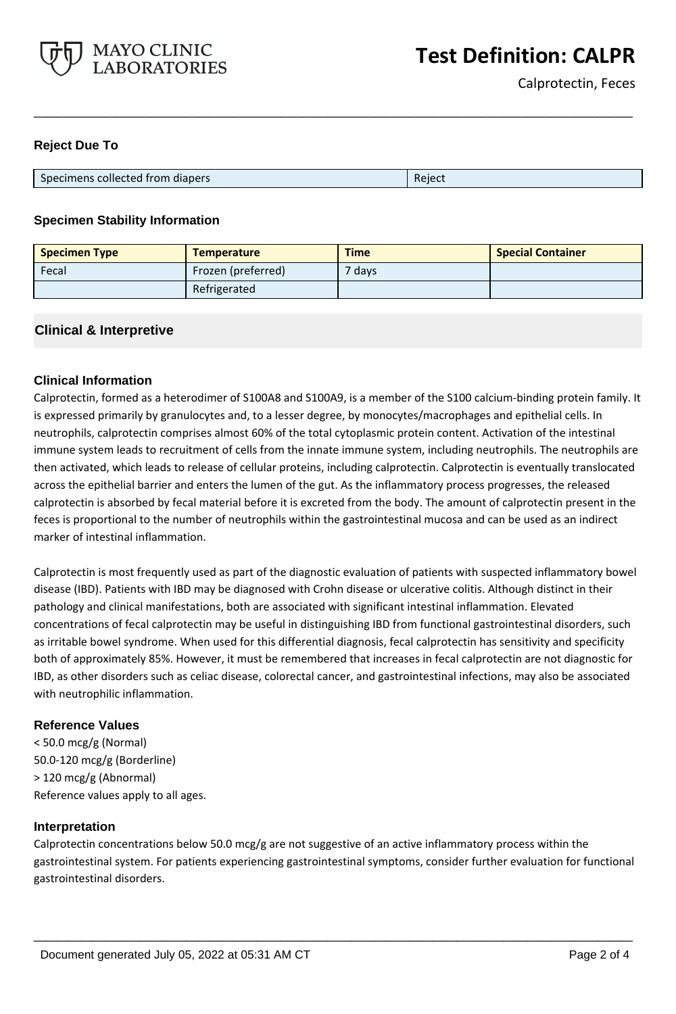

## **Reject Due To**

| Specimens collected from diapers | Reiect |
|----------------------------------|--------|

**\_\_\_\_\_\_\_\_\_\_\_\_\_\_\_\_\_\_\_\_\_\_\_\_\_\_\_\_\_\_\_\_\_\_\_\_\_\_\_\_\_\_\_\_\_\_\_\_\_\_\_**

## **Specimen Stability Information**

| <b>Specimen Type</b> | <b>Temperature</b> | <b>Time</b> | <b>Special Container</b> |
|----------------------|--------------------|-------------|--------------------------|
| Fecal                | Frozen (preferred) | $7$ days    |                          |
|                      | Refrigerated       |             |                          |

## **Clinical & Interpretive**

## **Clinical Information**

Calprotectin, formed as a heterodimer of S100A8 and S100A9, is a member of the S100 calcium-binding protein family. It is expressed primarily by granulocytes and, to a lesser degree, by monocytes/macrophages and epithelial cells. In neutrophils, calprotectin comprises almost 60% of the total cytoplasmic protein content. Activation of the intestinal immune system leads to recruitment of cells from the innate immune system, including neutrophils. The neutrophils are then activated, which leads to release of cellular proteins, including calprotectin. Calprotectin is eventually translocated across the epithelial barrier and enters the lumen of the gut. As the inflammatory process progresses, the released calprotectin is absorbed by fecal material before it is excreted from the body. The amount of calprotectin present in the feces is proportional to the number of neutrophils within the gastrointestinal mucosa and can be used as an indirect marker of intestinal inflammation.

Calprotectin is most frequently used as part of the diagnostic evaluation of patients with suspected inflammatory bowel disease (IBD). Patients with IBD may be diagnosed with Crohn disease or ulcerative colitis. Although distinct in their pathology and clinical manifestations, both are associated with significant intestinal inflammation. Elevated concentrations of fecal calprotectin may be useful in distinguishing IBD from functional gastrointestinal disorders, such as irritable bowel syndrome. When used for this differential diagnosis, fecal calprotectin has sensitivity and specificity both of approximately 85%. However, it must be remembered that increases in fecal calprotectin are not diagnostic for IBD, as other disorders such as celiac disease, colorectal cancer, and gastrointestinal infections, may also be associated with neutrophilic inflammation.

## **Reference Values**

< 50.0 mcg/g (Normal) 50.0-120 mcg/g (Borderline) > 120 mcg/g (Abnormal) Reference values apply to all ages.

## **Interpretation**

Calprotectin concentrations below 50.0 mcg/g are not suggestive of an active inflammatory process within the gastrointestinal system. For patients experiencing gastrointestinal symptoms, consider further evaluation for functional gastrointestinal disorders.

**\_\_\_\_\_\_\_\_\_\_\_\_\_\_\_\_\_\_\_\_\_\_\_\_\_\_\_\_\_\_\_\_\_\_\_\_\_\_\_\_\_\_\_\_\_\_\_\_\_\_\_**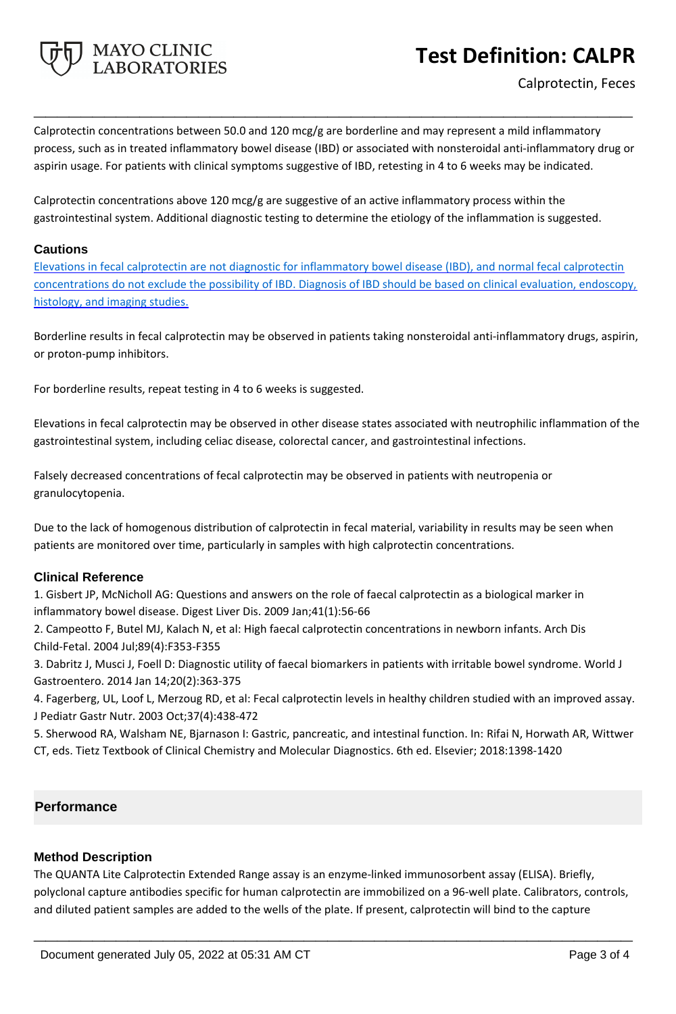

# **Test Definition: CALPR**

Calprotectin concentrations between 50.0 and 120 mcg/g are borderline and may represent a mild inflammatory process, such as in treated inflammatory bowel disease (IBD) or associated with nonsteroidal anti-inflammatory drug or aspirin usage. For patients with clinical symptoms suggestive of IBD, retesting in 4 to 6 weeks may be indicated.

**\_\_\_\_\_\_\_\_\_\_\_\_\_\_\_\_\_\_\_\_\_\_\_\_\_\_\_\_\_\_\_\_\_\_\_\_\_\_\_\_\_\_\_\_\_\_\_\_\_\_\_**

Calprotectin concentrations above 120 mcg/g are suggestive of an active inflammatory process within the gastrointestinal system. Additional diagnostic testing to determine the etiology of the inflammation is suggested.

## **Cautions**

Elevations in fecal calprotectin are not diagnostic for inflammatory bowel disease (IBD), and normal fecal calprotectin concentrations do not exclude the possibility of IBD. Diagnosis of IBD should be based on clinical evaluation, endoscopy, histology, and imaging studies.

Borderline results in fecal calprotectin may be observed in patients taking nonsteroidal anti-inflammatory drugs, aspirin, or proton-pump inhibitors.

For borderline results, repeat testing in 4 to 6 weeks is suggested.

Elevations in fecal calprotectin may be observed in other disease states associated with neutrophilic inflammation of the gastrointestinal system, including celiac disease, colorectal cancer, and gastrointestinal infections.

Falsely decreased concentrations of fecal calprotectin may be observed in patients with neutropenia or granulocytopenia.

Due to the lack of homogenous distribution of calprotectin in fecal material, variability in results may be seen when patients are monitored over time, particularly in samples with high calprotectin concentrations.

# **Clinical Reference**

1. Gisbert JP, McNicholl AG: Questions and answers on the role of faecal calprotectin as a biological marker in inflammatory bowel disease. Digest Liver Dis. 2009 Jan;41(1):56-66

2. Campeotto F, Butel MJ, Kalach N, et al: High faecal calprotectin concentrations in newborn infants. Arch Dis Child-Fetal. 2004 Jul;89(4):F353-F355

3. Dabritz J, Musci J, Foell D: Diagnostic utility of faecal biomarkers in patients with irritable bowel syndrome. World J Gastroentero. 2014 Jan 14;20(2):363-375

4. Fagerberg, UL, Loof L, Merzoug RD, et al: Fecal calprotectin levels in healthy children studied with an improved assay. J Pediatr Gastr Nutr. 2003 Oct;37(4):438-472

5. Sherwood RA, Walsham NE, Bjarnason I: Gastric, pancreatic, and intestinal function. In: Rifai N, Horwath AR, Wittwer CT, eds. Tietz Textbook of Clinical Chemistry and Molecular Diagnostics. 6th ed. Elsevier; 2018:1398-1420

# **Performance**

# **Method Description**

The QUANTA Lite Calprotectin Extended Range assay is an enzyme-linked immunosorbent assay (ELISA). Briefly, polyclonal capture antibodies specific for human calprotectin are immobilized on a 96-well plate. Calibrators, controls, and diluted patient samples are added to the wells of the plate. If present, calprotectin will bind to the capture

**\_\_\_\_\_\_\_\_\_\_\_\_\_\_\_\_\_\_\_\_\_\_\_\_\_\_\_\_\_\_\_\_\_\_\_\_\_\_\_\_\_\_\_\_\_\_\_\_\_\_\_**